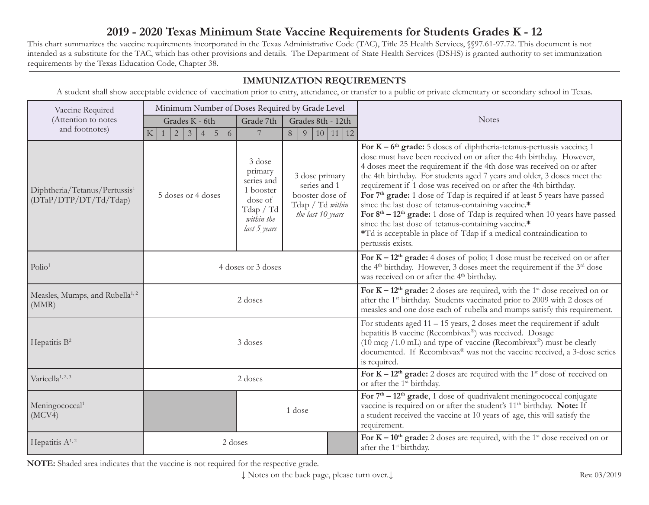# **2019 - 2020 Texas Minimum State Vaccine Requirements for Students Grades K - 12**

This chart summarizes the vaccine requirements incorporated in the Texas Administrative Code (TAC), Title 25 Health Services, §[§97.61-97.72.](https://97.61-97.72) This document is not intended as a substitute for the TAC, which has other provisions and details. The Department of State Health Services (DSHS) is granted authority to set immunization requirements by the Texas Education Code, Chapter 38.

### **IMMUNIZATION REQUIREMENTS**

A student shall show acceptable evidence of vaccination prior to entry, attendance, or transfer to a public or private elementary or secondary school in Texas.

| Vaccine Required                                                   | Minimum Number of Doses Required by Grade Level                                   |                                                                                                    |                                                                                            |            |                                                                                                                                                                                                                                                                                                                                                                                                                                                                                                                                                                                                                                                                                                                                                                       |
|--------------------------------------------------------------------|-----------------------------------------------------------------------------------|----------------------------------------------------------------------------------------------------|--------------------------------------------------------------------------------------------|------------|-----------------------------------------------------------------------------------------------------------------------------------------------------------------------------------------------------------------------------------------------------------------------------------------------------------------------------------------------------------------------------------------------------------------------------------------------------------------------------------------------------------------------------------------------------------------------------------------------------------------------------------------------------------------------------------------------------------------------------------------------------------------------|
| (Attention to notes                                                | Grade 7th<br>Grades K - 6th                                                       |                                                                                                    | Grades 8th - 12th                                                                          |            | <b>Notes</b>                                                                                                                                                                                                                                                                                                                                                                                                                                                                                                                                                                                                                                                                                                                                                          |
| and footnotes)                                                     | K<br>$\overline{2}$<br>$\mathfrak{Z}$<br>5<br>6<br>$\overline{4}$<br>$\mathbf{1}$ | 7                                                                                                  | 10 11<br>8<br>9                                                                            | $\vert$ 12 |                                                                                                                                                                                                                                                                                                                                                                                                                                                                                                                                                                                                                                                                                                                                                                       |
| Diphtheria/Tetanus/Pertussis <sup>1</sup><br>(DTaP/DTP/DT/Td/Tdap) | 5 doses or 4 doses                                                                | 3 dose<br>primary<br>series and<br>1 booster<br>dose of<br>Tdap / Td<br>within the<br>last 5 years | 3 dose primary<br>series and 1<br>booster dose of<br>Tdap / Td within<br>the last 10 years |            | For $K - 6$ <sup>th</sup> grade: 5 doses of diphtheria-tetanus-pertussis vaccine; 1<br>dose must have been received on or after the 4th birthday. However,<br>4 doses meet the requirement if the 4th dose was received on or after<br>the 4th birthday. For students aged 7 years and older, 3 doses meet the<br>requirement if 1 dose was received on or after the 4th birthday.<br>For 7 <sup>th</sup> grade: 1 dose of Tdap is required if at least 5 years have passed<br>since the last dose of tetanus-containing vaccine.*<br>For $8th - 12th$ grade: 1 dose of Tdap is required when 10 years have passed<br>since the last dose of tetanus-containing vaccine.*<br>*Td is acceptable in place of Tdap if a medical contraindication to<br>pertussis exists. |
| Polio <sup>1</sup>                                                 |                                                                                   | 4 doses or 3 doses                                                                                 |                                                                                            |            | For $K - 12th$ grade: 4 doses of polio; 1 dose must be received on or after<br>the 4 <sup>th</sup> birthday. However, 3 doses meet the requirement if the 3 <sup>rd</sup> dose<br>was received on or after the 4 <sup>th</sup> birthday.                                                                                                                                                                                                                                                                                                                                                                                                                                                                                                                              |
| Measles, Mumps, and Rubella <sup>1, 2</sup><br>(MMR)               |                                                                                   | 2 doses                                                                                            |                                                                                            |            | For $K - 12th$ grade: 2 doses are required, with the 1 <sup>st</sup> dose received on or<br>after the 1 <sup>st</sup> birthday. Students vaccinated prior to 2009 with 2 doses of<br>measles and one dose each of rubella and mumps satisfy this requirement.                                                                                                                                                                                                                                                                                                                                                                                                                                                                                                         |
| Hepatitis $B^2$                                                    |                                                                                   | 3 doses                                                                                            |                                                                                            |            | For students aged $11 - 15$ years, 2 doses meet the requirement if adult<br>hepatitis B vaccine (Recombivax®) was received. Dosage<br>$(10 \text{ mcg}/1.0 \text{ mL})$ and type of vaccine (Recombivax®) must be clearly<br>documented. If Recombivax® was not the vaccine received, a 3-dose series<br>is required.                                                                                                                                                                                                                                                                                                                                                                                                                                                 |
| Varicella <sup>1, 2, 3</sup>                                       |                                                                                   | 2 doses                                                                                            |                                                                                            |            | For $K - 12th$ grade: 2 doses are required with the 1 <sup>st</sup> dose of received on<br>or after the 1 <sup>st</sup> birthday.                                                                                                                                                                                                                                                                                                                                                                                                                                                                                                                                                                                                                                     |
| Meningococcal <sup>1</sup><br>(MCV4)                               |                                                                                   |                                                                                                    | 1 dose                                                                                     |            | For $7th - 12th$ grade, 1 dose of quadrivalent meningococcal conjugate<br>vaccine is required on or after the student's 11 <sup>th</sup> birthday. Note: If<br>a student received the vaccine at 10 years of age, this will satisfy the<br>requirement.                                                                                                                                                                                                                                                                                                                                                                                                                                                                                                               |
| Hepatitis $A^{1,2}$                                                | 2 doses                                                                           |                                                                                                    |                                                                                            |            | For $K - 10$ <sup>th</sup> grade: 2 doses are required, with the 1 <sup>st</sup> dose received on or<br>after the 1 <sup>st</sup> birthday.                                                                                                                                                                                                                                                                                                                                                                                                                                                                                                                                                                                                                           |

**NOTE:** Shaded area indicates that the vaccine is not required for the respective grade.

↓ Notes on the back page, please turn over.↓ Rev. 03/2019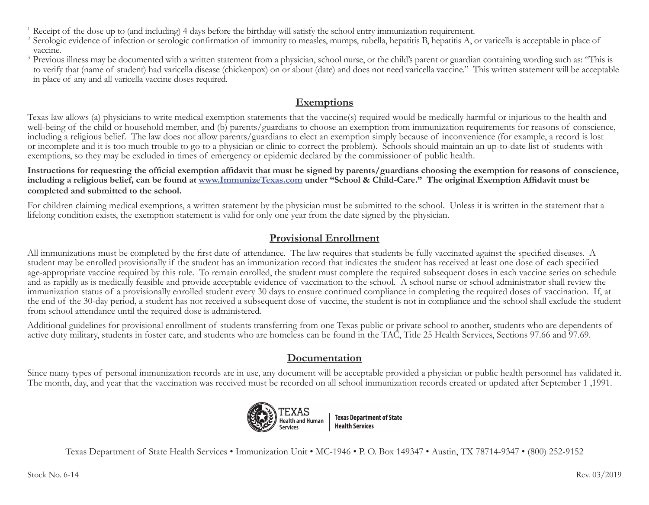<sup>1</sup> Receipt of the dose up to (and including) 4 days before the birthday will satisfy the school entry immunization requirement.

- <sup>2</sup> Serologic evidence of infection or serologic confirmation of immunity to measles, mumps, rubella, hepatitis B, hepatitis A, or varicella is acceptable in place of vaccine.
- <sup>3</sup> Previous illness may be documented with a written statement from a physician, school nurse, or the child's parent or guardian containing wording such as: "This is to verify that (name of student) had varicella disease (chickenpox) on or about (date) and does not need varicella vaccine." This written statement will be acceptable in place of any and all varicella vaccine doses required.

### **Exemptions**

Texas law allows (a) physicians to write medical exemption statements that the vaccine(s) required would be medically harmful or injurious to the health and well-being of the child or household member, and (b) parents/guardians to choose an exemption from immunization requirements for reasons of conscience, including a religious belief. The law does not allow parents/guardians to elect an exemption simply because of inconvenience (for example, a record is lost or incomplete and it is too much trouble to go to a physician or clinic to correct the problem). Schools should maintain an up-to-date list of students with exemptions, so they may be excluded in times of emergency or epidemic declared by the commissioner of public health.

**Instructions for requesting the official exemption affidavit that must be signed by parents/guardians choosing the exemption for reasons of conscience, including a religious belief, can be found at <www.ImmunizeTexas.com> under "School & Child-Care." The original Exemption Affidavit must be completed and submitted to the school.**

For children claiming medical exemptions, a written statement by the physician must be submitted to the school. Unless it is written in the statement that a lifelong condition exists, the exemption statement is valid for only one year from the date signed by the physician.

### **Provisional Enrollment**

All immunizations must be completed by the first date of attendance. The law requires that students be fully vaccinated against the specified diseases. A student may be enrolled provisionally if the student has an immunization record that indicates the student has received at least one dose of each specified age-appropriate vaccine required by this rule. To remain enrolled, the student must complete the required subsequent doses in each vaccine series on schedule and as rapidly as is medically feasible and provide acceptable evidence of vaccination to the school. A school nurse or school administrator shall review the immunization status of a provisionally enrolled student every 30 days to ensure continued compliance in completing the required doses of vaccination. If, at the end of the 30-day period, a student has not received a subsequent dose of vaccine, the student is not in compliance and the school shall exclude the student from school attendance until the required dose is administered.

Additional guidelines for provisional enrollment of students transferring from one Texas public or private school to another, students who are dependents of active duty military, students in foster care, and students who are homeless can be found in the TAC, Title 25 Health Services, Sections 97.66 and 97.69.

## **Documentation**

 Since many types of personal immunization records are in use, any document will be acceptable provided a physician or public health personnel has validated it. The month, day, and year that the vaccination was received must be recorded on all school immunization records created or updated after September 1 ,1991.



Texas Department of State Health Services • Immunization Unit • MC-1946 • P. O. Box 149347 • Austin, TX 78714-9347 • (800) 252-9152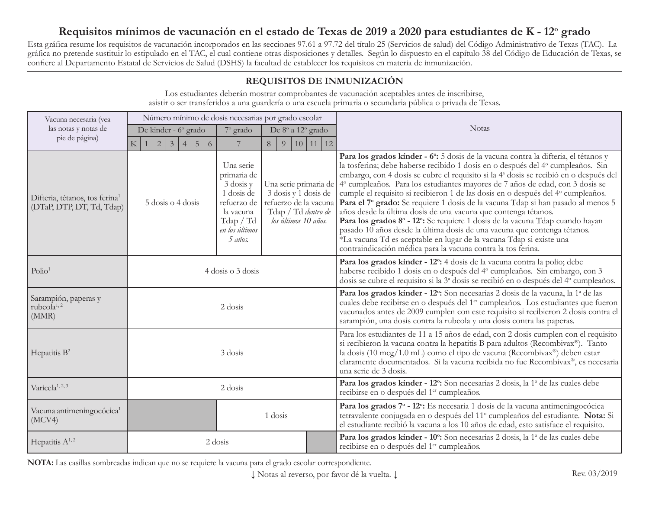## **Requisitos mínimos de vacunación en el estado de Texas de 2019 a 2020 para estudiantes de K - 12º grado**

Esta gráfica resume los requisitos de vacunación incorporados en las secciones 97.61 a 97.72 del título 25 (Servicios de salud) del Código Administrativo de Texas (TAC). La gráfica no pretende sustituir lo estipulado en el TAC, el cual contiene otras disposiciones y detalles. Según lo dispuesto en el capítulo 38 del Código de Educación de Texas, se confiere al Departamento Estatal de Servicios de Salud (DSHS) la facultad de establecer los requisitos en materia de inmunización.

### **REQUISITOS DE INMUNIZACIÓN**

Los estudiantes deberán mostrar comprobantes de vacunación aceptables antes de inscribirse, asistir o ser transferidos a una guardería o una escuela primaria o secundaria pública o privada de Texas.

| Vacuna necesaria (vea                                                   | Número mínimo de dosis necesarias por grado escolar               |                                                                                                                           |                   |                      |    |                                                                      |                                                                                                                                                                                                                                                                                                                                                                                                                                                                                                                                                                                                                                                                                                                                                                                                                                                                                                                                       |
|-------------------------------------------------------------------------|-------------------------------------------------------------------|---------------------------------------------------------------------------------------------------------------------------|-------------------|----------------------|----|----------------------------------------------------------------------|---------------------------------------------------------------------------------------------------------------------------------------------------------------------------------------------------------------------------------------------------------------------------------------------------------------------------------------------------------------------------------------------------------------------------------------------------------------------------------------------------------------------------------------------------------------------------------------------------------------------------------------------------------------------------------------------------------------------------------------------------------------------------------------------------------------------------------------------------------------------------------------------------------------------------------------|
| las notas y notas de<br>pie de página)                                  | De kinder - 6° grado<br>7º grado                                  |                                                                                                                           | De 8º a 12º grado |                      |    |                                                                      | Notas                                                                                                                                                                                                                                                                                                                                                                                                                                                                                                                                                                                                                                                                                                                                                                                                                                                                                                                                 |
|                                                                         | 5<br>$\overline{2}$<br>$\overline{3}$<br>K<br>6<br>$\overline{4}$ | 7                                                                                                                         | 8                 | 9                    | 10 | 11<br>12                                                             |                                                                                                                                                                                                                                                                                                                                                                                                                                                                                                                                                                                                                                                                                                                                                                                                                                                                                                                                       |
| Difteria, tétanos, tos ferina <sup>1</sup><br>(DTaP, DTP, DT, Td, Tdap) | 5 dosis o 4 dosis                                                 | Una serie<br>primaria de<br>3 dosis y<br>1 dosis de<br>refuerzo de<br>la vacuna<br>Tdap / Td<br>en los últimos<br>5 años. |                   | los últimos 10 años. |    | Una serie primaria de<br>3 dosis y 1 dosis de<br>Tdap / Td dentro de | Para los grados kínder - 6°: 5 dosis de la vacuna contra la difteria, el tétanos y<br>la tosferina; debe haberse recibido 1 dosis en o después del 4º cumpleaños. Sin<br>embargo, con 4 dosis se cubre el requisito si la 4 <sup>ª</sup> dosis se recibió en o después del<br>4º cumpleaños. Para los estudiantes mayores de 7 años de edad, con 3 dosis se<br>cumple el requisito si recibieron 1 de las dosis en o después del 4° cumpleaños.<br>refuerzo de la vacuna <b>Para el 7º grado:</b> Se requiere 1 dosis de la vacuna Tdap si han pasado al menos 5<br>años desde la última dosis de una vacuna que contenga tétanos.<br>Para los grados 8º - 12°: Se requiere 1 dosis de la vacuna Tdap cuando hayan<br>pasado 10 años desde la última dosis de una vacuna que contenga tétanos.<br>*La vacuna Td es aceptable en lugar de la vacuna Tdap si existe una<br>contraindicación médica para la vacuna contra la tos ferina. |
| Polio <sup>1</sup>                                                      | 4 dosis o 3 dosis                                                 |                                                                                                                           |                   |                      |    |                                                                      | Para los grados kínder - 12°: 4 dosis de la vacuna contra la polio; debe<br>haberse recibido 1 dosis en o después del 4º cumpleaños. Sin embargo, con 3<br>dosis se cubre el requisito si la 3 <sup>ª</sup> dosis se recibió en o después del 4 <sup>°</sup> cumpleaños.                                                                                                                                                                                                                                                                                                                                                                                                                                                                                                                                                                                                                                                              |
| Sarampión, paperas y<br>rubeola <sup>1,2</sup><br>(MMR)                 | 2 dosis                                                           |                                                                                                                           |                   |                      |    |                                                                      | Para los grados kínder - 12°: Son necesarias 2 dosis de la vacuna, la 1ª de las<br>cuales debe recibirse en o después del 1 <sup>er</sup> cumpleaños. Los estudiantes que fueron<br>vacunados antes de 2009 cumplen con este requisito si recibieron 2 dosis contra el<br>sarampión, una dosis contra la rubeola y una dosis contra las paperas.                                                                                                                                                                                                                                                                                                                                                                                                                                                                                                                                                                                      |
| Hepatitis $B^2$                                                         | 3 dosis                                                           |                                                                                                                           |                   |                      |    |                                                                      | Para los estudiantes de 11 a 15 años de edad, con 2 dosis cumplen con el requisito<br>si recibieron la vacuna contra la hepatitis B para adultos (Recombivax®). Tanto<br>la dosis (10 mcg/1.0 mL) como el tipo de vacuna (Recombivax®) deben estar<br>claramente documentados. Si la vacuna recibida no fue Recombivax <sup>®</sup> , es necesaria<br>una serie de 3 dosis.                                                                                                                                                                                                                                                                                                                                                                                                                                                                                                                                                           |
| Varicela <sup>1, 2, 3</sup>                                             | $2$ dosis                                                         |                                                                                                                           |                   |                      |    |                                                                      | Para los grados kínder - 12°: Son necesarias 2 dosis, la 1ª de las cuales debe<br>recibirse en o después del 1 <sup>er</sup> cumpleaños.                                                                                                                                                                                                                                                                                                                                                                                                                                                                                                                                                                                                                                                                                                                                                                                              |
| Vacuna antimeningocócica <sup>1</sup><br>(MCV4)                         |                                                                   | 1 dosis                                                                                                                   |                   |                      |    |                                                                      | Para los grados 7º - 12°: Es necesaria 1 dosis de la vacuna antimeningocócica<br>tetravalente conjugada en o después del 11º cumpleaños del estudiante. Nota: Si<br>el estudiante recibió la vacuna a los 10 años de edad, esto satisface el requisito.                                                                                                                                                                                                                                                                                                                                                                                                                                                                                                                                                                                                                                                                               |
| Hepatitis $A^{1,2}$                                                     |                                                                   | 2 dosis                                                                                                                   |                   |                      |    |                                                                      | Para los grados kínder - 10 <sup>°</sup> : Son necesarias 2 dosis, la 1 <sup>ª</sup> de las cuales debe<br>recibirse en o después del 1 <sup>er</sup> cumpleaños.                                                                                                                                                                                                                                                                                                                                                                                                                                                                                                                                                                                                                                                                                                                                                                     |

**NOTA:** Las casillas sombreadas indican que no se requiere la vacuna para el grado escolar correspondiente.